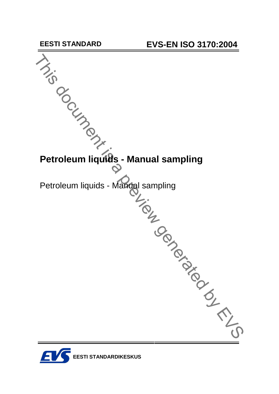

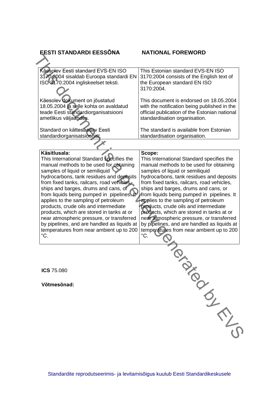**EESTI STANDARDI EESS'NA NATIONAL FOREWORD**

| Käesolev Eesti standard EVS-EN ISO                                          | This Estonian standard EVS-EN ISO                                           |
|-----------------------------------------------------------------------------|-----------------------------------------------------------------------------|
| 3170:2004 sisaldab Euroopa standardi EN                                     | 3170:2004 consists of the English text of                                   |
| ISO 3170:2004 ingliskeelset teksti.                                         | the European standard EN ISO                                                |
|                                                                             | 3170:2004.                                                                  |
| Käesolev dokument on jõustatud                                              | This document is endorsed on 18.05.2004                                     |
| 18.05.2004 ja selle kohta on avaldatud                                      | with the notification being published in the                                |
| teade Eesti standardiorganisatsiooni                                        | official publication of the Estonian national                               |
| ametlikus väljaandes.                                                       | standardisation organisation.                                               |
| Standard on kättesaadav Eesti                                               | The standard is available from Estonian                                     |
| standardiorganisatsioonist.                                                 | standardisation organisation.                                               |
|                                                                             |                                                                             |
| Käsitlusala:                                                                | Scope:                                                                      |
| This International Standard specifies the                                   | This International Standard specifies the                                   |
| manual methods to be used for obtaining                                     | manual methods to be used for obtaining                                     |
| samples of liquid or semiliquid<br>hydrocarbons, tank residues and deposits | samples of liquid or semiliquid<br>hydrocarbons, tank residues and deposits |
| from fixed tanks, railcars, road vehicles.                                  | from fixed tanks, railcars, road vehicles,                                  |
| ships and barges, drums and cans, or                                        | ships and barges, drums and cans, or                                        |
| from liquids being pumped in pipelines. It                                  | from liquids being pumped in pipelines. It                                  |
| applies to the sampling of petroleum                                        | applies to the sampling of petroleum                                        |
| products, crude oils and intermediate                                       | products, crude oils and intermediate                                       |
| products, which are stored in tanks at or                                   | products, which are stored in tanks at or                                   |
| near atmospheric pressure, or transferred                                   | near atmospheric pressure, or transferred                                   |
| by pipelines, and are handled as liquids at                                 | by pipelines, and are handled as liquids at                                 |
| temperatures from near ambient up to 200                                    | temperatures from near ambient up to 200                                    |
| $^{\circ}$ C.                                                               | $^{\circ}$ C.                                                               |
|                                                                             |                                                                             |
|                                                                             |                                                                             |
|                                                                             |                                                                             |
| ICS 75.080                                                                  | $\frac{1}{2}$                                                               |
|                                                                             |                                                                             |
|                                                                             |                                                                             |
| Võtmesõnad:                                                                 |                                                                             |
|                                                                             |                                                                             |
|                                                                             |                                                                             |
|                                                                             |                                                                             |
|                                                                             |                                                                             |
|                                                                             |                                                                             |
|                                                                             |                                                                             |
|                                                                             |                                                                             |
|                                                                             |                                                                             |

Standardite reprodutseerimis- ja levitamisõigus kuulub Eesti Standardikeskusele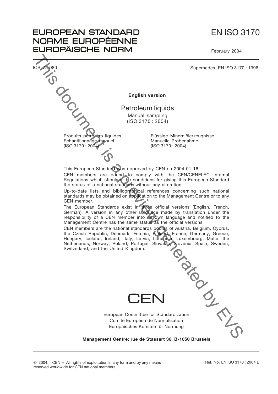# EN ISO 3170

February 2004



CEN member.

**EUROPEAN STANDARD** NORME EUROPÉENNE **EUROPÄISCHE NORM** 

> The European Standards exist in three official versions (English, French, German). A version in any other language made by translation under the responsibility of a CEN member into its own language and notified to the Management Centre has the same status as the official versions.

> CEN members are the national standards bodies of Austria, Belgium, Cyprus, the Czech Republic, Denmark, Estonia, Finland, France, Germany, Greece, Hungary, Iceland, Ireland, Italy, Latvia, Lithuania, Luxembourg, Malta, the Netherlands, Norway, Poland, Portugal, Slovakia, Slovenia, Spain, Sweden, Switzerland, and the United Kingdom.



 $\sqsubset$   $\sqcap$ 

**Management Centre: rue de Stassart 36, B-1050 Brussels**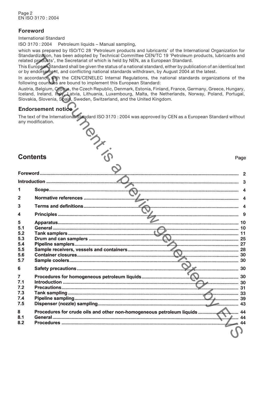## **Foreword**

International Standard

ISO 3170 : 2004 Petroleum liquids – Manual sampling,

which was prepared by ISO/TC 28 'Petroleum products and lubricants' of the International Organization for Standardization, has been adopted by Technical Committee CEN/TC 19 'Petroleum products, lubricants and related products', the Secretariat of which is held by NEN, as a European Standard.

## **Endorsement notice**

|                 | Standardization, has been adopted by Technical Committee CEN/TC 19 'Petroleum products, lubricants and<br>related products', the Secretariat of which is held by NEN, as a European Standard.                                                                                                      |    |
|-----------------|----------------------------------------------------------------------------------------------------------------------------------------------------------------------------------------------------------------------------------------------------------------------------------------------------|----|
|                 | This European Standard shall be given the status of a national standard, either by publication of an identical text                                                                                                                                                                                |    |
|                 | or by endorsement, and conflicting national standards withdrawn, by August 2004 at the latest.                                                                                                                                                                                                     |    |
|                 | In accordance, with the CEN/CENELEC Internal Regulations, the national standards organizations of the<br>following countries are bound to implement this European Standard:                                                                                                                        |    |
|                 | Austria, Belgium, Cyprus, the Czech Republic, Denmark, Estonia, Finland, France, Germany, Greece, Hungary,<br>Iceland, Ireland, Italy, Latvia, Lithuania, Luxembourg, Malta, the Netherlands, Norway, Poland, Portugal,<br>Slovakia, Slovenia, Spain, Sweden, Switzerland, and the United Kingdom. |    |
|                 | Endorsement notice                                                                                                                                                                                                                                                                                 |    |
|                 | The text of the International Standard ISO 3170 : 2004 was approved by CEN as a European Standard without<br>any modification.<br>TON TO                                                                                                                                                           |    |
| <b>Contents</b> | Page                                                                                                                                                                                                                                                                                               |    |
|                 |                                                                                                                                                                                                                                                                                                    |    |
|                 |                                                                                                                                                                                                                                                                                                    |    |
|                 |                                                                                                                                                                                                                                                                                                    |    |
|                 |                                                                                                                                                                                                                                                                                                    |    |
|                 |                                                                                                                                                                                                                                                                                                    |    |
|                 |                                                                                                                                                                                                                                                                                                    |    |
|                 |                                                                                                                                                                                                                                                                                                    |    |
|                 |                                                                                                                                                                                                                                                                                                    |    |
| 5.1             |                                                                                                                                                                                                                                                                                                    |    |
| 5.2             |                                                                                                                                                                                                                                                                                                    |    |
| 5.3             |                                                                                                                                                                                                                                                                                                    |    |
| 5.4             |                                                                                                                                                                                                                                                                                                    |    |
| 5.5             |                                                                                                                                                                                                                                                                                                    |    |
| 5.6             |                                                                                                                                                                                                                                                                                                    |    |
| 5.7             |                                                                                                                                                                                                                                                                                                    |    |
| 6               |                                                                                                                                                                                                                                                                                                    |    |
| 7               |                                                                                                                                                                                                                                                                                                    |    |
| 7.1             |                                                                                                                                                                                                                                                                                                    |    |
| 7.2             |                                                                                                                                                                                                                                                                                                    | 31 |
| 7.3             |                                                                                                                                                                                                                                                                                                    |    |
| 7.4             |                                                                                                                                                                                                                                                                                                    |    |
| 7.5             |                                                                                                                                                                                                                                                                                                    |    |
| 8               |                                                                                                                                                                                                                                                                                                    |    |
| 8.1             |                                                                                                                                                                                                                                                                                                    | 44 |
| 8.2             |                                                                                                                                                                                                                                                                                                    |    |
|                 |                                                                                                                                                                                                                                                                                                    |    |
|                 |                                                                                                                                                                                                                                                                                                    |    |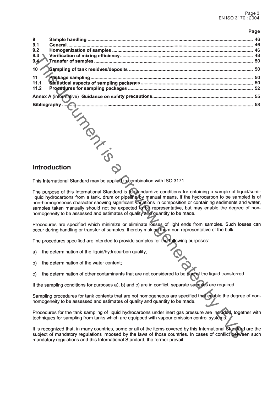### **Page**

| 9<br>9.1<br>9.2<br>9.3<br>9.44 |                                                                                                                                                                                                                                                                                                                                                                                                                                                                                                                                    |  |  |  |
|--------------------------------|------------------------------------------------------------------------------------------------------------------------------------------------------------------------------------------------------------------------------------------------------------------------------------------------------------------------------------------------------------------------------------------------------------------------------------------------------------------------------------------------------------------------------------|--|--|--|
| $10 \times$                    |                                                                                                                                                                                                                                                                                                                                                                                                                                                                                                                                    |  |  |  |
| 11<br>11.1<br>11.2             |                                                                                                                                                                                                                                                                                                                                                                                                                                                                                                                                    |  |  |  |
|                                |                                                                                                                                                                                                                                                                                                                                                                                                                                                                                                                                    |  |  |  |
|                                |                                                                                                                                                                                                                                                                                                                                                                                                                                                                                                                                    |  |  |  |
| Bibliography                   |                                                                                                                                                                                                                                                                                                                                                                                                                                                                                                                                    |  |  |  |
|                                | <b>Introduction</b>                                                                                                                                                                                                                                                                                                                                                                                                                                                                                                                |  |  |  |
|                                | This International Standard may be applied in combination with ISO 3171.                                                                                                                                                                                                                                                                                                                                                                                                                                                           |  |  |  |
|                                | The purpose of this International Standard is to standardize conditions for obtaining a sample of liquid/semi-<br>liquid hydrocarbons from a tank, drum or pipeline by manual means. If the hydrocarbon to be sampled is of<br>non-homogeneous character showing significant variations in composition or containing sediments and water,<br>samples taken manually should not be expected to be representative, but may enable the degree of non-<br>homogeneity to be assessed and estimates of quality and quantity to be made. |  |  |  |
|                                | Procedures are specified which minimize or eliminate losses of light ends from samples. Such losses can<br>occur during handling or transfer of samples, thereby making them non-representative of the bulk.                                                                                                                                                                                                                                                                                                                       |  |  |  |
|                                | The procedures specified are intended to provide samples for the following purposes:                                                                                                                                                                                                                                                                                                                                                                                                                                               |  |  |  |
| a)                             | the determination of the liquid/hydrocarbon quality;                                                                                                                                                                                                                                                                                                                                                                                                                                                                               |  |  |  |
| b)                             | the determination of the water content;                                                                                                                                                                                                                                                                                                                                                                                                                                                                                            |  |  |  |
| C)                             | the determination of other contaminants that are not considered to be part of the liquid transferred.                                                                                                                                                                                                                                                                                                                                                                                                                              |  |  |  |
|                                | If the sampling conditions for purposes a), b) and c) are in conflict, separate samples are required.                                                                                                                                                                                                                                                                                                                                                                                                                              |  |  |  |
|                                | Sampling procedures for tank contents that are not homogeneous are specified that enable the degree of non-<br>homogeneity to be assessed and estimates of quality and quantity to be made.                                                                                                                                                                                                                                                                                                                                        |  |  |  |
|                                | Procedures for the tank sampling of liquid hydrocarbons under inert gas pressure are included, together with<br>techniques for sampling from tanks which are equipped with vapour emission control systems.                                                                                                                                                                                                                                                                                                                        |  |  |  |
|                                | It is recognized that, in many countries, some or all of the items covered by this International Standard are the<br>subject of mandatory regulations imposed by the laws of those countries. In cases of conflict between such<br>lations and this International Ctenderd, the fermer provail                                                                                                                                                                                                                                     |  |  |  |

- 
- 
-